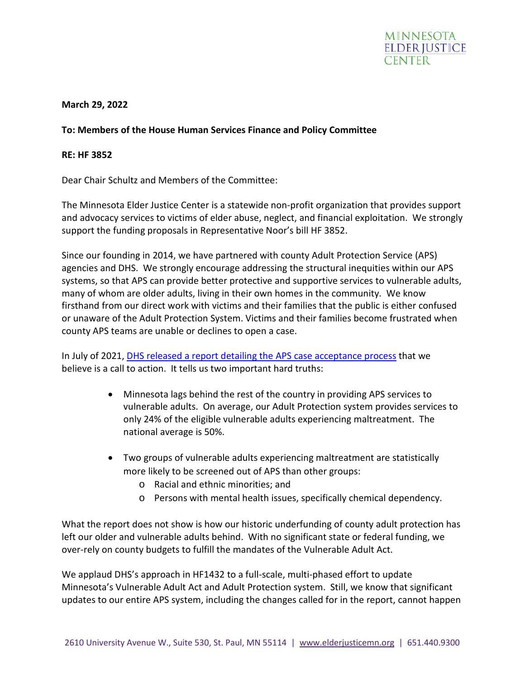

## **March 29, 2022**

## **To: Members of the House Human Services Finance and Policy Committee**

## **RE: HF 3852**

Dear Chair Schultz and Members of the Committee:

The Minnesota Elder Justice Center is a statewide non-profit organization that provides support and advocacy services to victims of elder abuse, neglect, and financial exploitation. We strongly support the funding proposals in Representative Noor's bill HF 3852.

Since our founding in 2014, we have partnered with county Adult Protection Service (APS) agencies and DHS. We strongly encourage addressing the structural inequities within our APS systems, so that APS can provide better protective and supportive services to vulnerable adults, many of whom are older adults, living in their own homes in the community. We know firsthand from our direct work with victims and their families that the public is either confused or unaware of the Adult Protection System. Victims and their families become frustrated when county APS teams are unable or declines to open a case.

In July of 2021, [DHS released a report detailing the APS case acceptance process](https://mn.gov/dhs/assets/Evaluation-report-APS-standardized-intake-decision-tool_tcm1053-488829.pdf) that we believe is a call to action. It tells us two important hard truths:

- Minnesota lags behind the rest of the country in providing APS services to vulnerable adults. On average, our Adult Protection system provides services to only 24% of the eligible vulnerable adults experiencing maltreatment. The national average is 50%.
- Two groups of vulnerable adults experiencing maltreatment are statistically more likely to be screened out of APS than other groups:
	- o Racial and ethnic minorities; and
	- o Persons with mental health issues, specifically chemical dependency.

What the report does not show is how our historic underfunding of county adult protection has left our older and vulnerable adults behind. With no significant state or federal funding, we over-rely on county budgets to fulfill the mandates of the Vulnerable Adult Act.

We applaud DHS's approach in HF1432 to a full-scale, multi-phased effort to update Minnesota's Vulnerable Adult Act and Adult Protection system. Still, we know that significant updates to our entire APS system, including the changes called for in the report, cannot happen